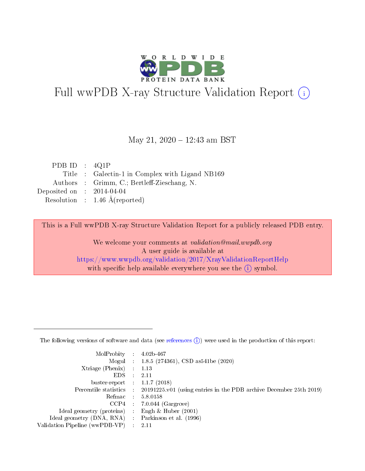

# Full wwPDB X-ray Structure Validation Report (i)

#### May 21, 2020 - 12:43 am BST

| PDB ID : $4Q1P$             |                                                 |
|-----------------------------|-------------------------------------------------|
|                             | Title : Galectin-1 in Complex with Ligand NB169 |
|                             | Authors : Grimm, C.; Bertleff-Zieschang, N.     |
| Deposited on : $2014-04-04$ |                                                 |
|                             | Resolution : $1.46 \text{ Å}$ (reported)        |

This is a Full wwPDB X-ray Structure Validation Report for a publicly released PDB entry.

We welcome your comments at validation@mail.wwpdb.org A user guide is available at <https://www.wwpdb.org/validation/2017/XrayValidationReportHelp> with specific help available everywhere you see the  $(i)$  symbol.

The following versions of software and data (see [references](https://www.wwpdb.org/validation/2017/XrayValidationReportHelp#references)  $(1)$ ) were used in the production of this report:

| MolProbity :                   |               | $4.02b - 467$                                                               |
|--------------------------------|---------------|-----------------------------------------------------------------------------|
|                                |               | Mogul : $1.8.5$ (274361), CSD as 541be (2020)                               |
| $X$ triage (Phenix) :          |               | 1.13                                                                        |
| EDS.                           |               | 2.11                                                                        |
| buster-report : $1.1.7$ (2018) |               |                                                                             |
| Percentile statistics :        |               | $20191225 \text{v}01$ (using entries in the PDB archive December 25th 2019) |
| Refmac :                       |               | 5.8.0158                                                                    |
| $CCP4$ :                       |               | $7.0.044$ (Gargrove)                                                        |
| Ideal geometry (proteins) :    |               | Engh $\&$ Huber (2001)                                                      |
| Ideal geometry (DNA, RNA) :    |               | Parkinson et al. (1996)                                                     |
| Validation Pipeline (wwPDB-VP) | $\mathcal{L}$ | 2.11                                                                        |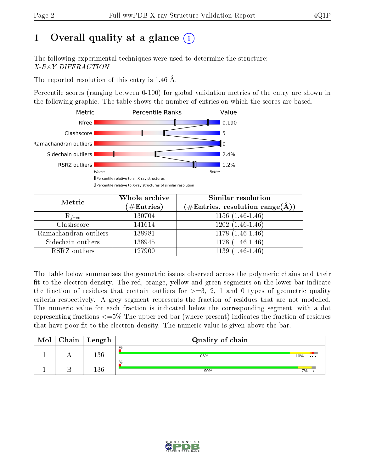# 1 [O](https://www.wwpdb.org/validation/2017/XrayValidationReportHelp#overall_quality)verall quality at a glance  $(i)$

The following experimental techniques were used to determine the structure: X-RAY DIFFRACTION

The reported resolution of this entry is 1.46 Å.

Percentile scores (ranging between 0-100) for global validation metrics of the entry are shown in the following graphic. The table shows the number of entries on which the scores are based.



| Metric                | Whole archive<br>$(\#\mathrm{Entries})$ | <b>Similar resolution</b><br>$(\#\text{Entries}, \text{resolution range}(\text{\AA}))$ |
|-----------------------|-----------------------------------------|----------------------------------------------------------------------------------------|
| $R_{free}$            | 130704                                  | $1156(1.46-1.46)$                                                                      |
| Clashscore            | 141614                                  | $1202(1.46-1.46)$                                                                      |
| Ramachandran outliers | 138981                                  | $1178(1.46-1.46)$                                                                      |
| Sidechain outliers    | 138945                                  | $1178(1.46-1.46)$                                                                      |
| RSRZ outliers         | 127900                                  | $1139(1.46-1.46)$                                                                      |

The table below summarises the geometric issues observed across the polymeric chains and their fit to the electron density. The red, orange, yellow and green segments on the lower bar indicate the fraction of residues that contain outliers for  $>=3, 2, 1$  and 0 types of geometric quality criteria respectively. A grey segment represents the fraction of residues that are not modelled. The numeric value for each fraction is indicated below the corresponding segment, with a dot representing fractions  $\epsilon=5\%$  The upper red bar (where present) indicates the fraction of residues that have poor fit to the electron density. The numeric value is given above the bar.

| Mol | ${\bf Chain \mid Length}$ | Quality of chain |                 |  |  |  |  |  |
|-----|---------------------------|------------------|-----------------|--|--|--|--|--|
|     | 136                       | %<br>86%         | 10%<br>$\cdots$ |  |  |  |  |  |
|     | 136                       | $\%$<br>90%      | 7%              |  |  |  |  |  |

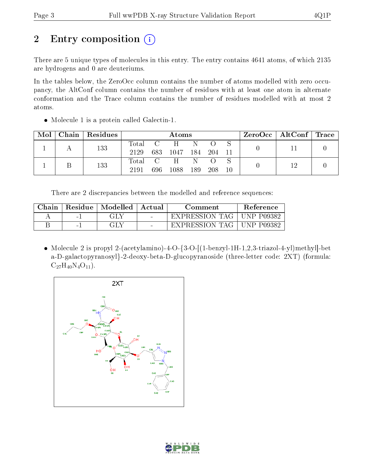# 2 Entry composition (i)

There are 5 unique types of molecules in this entry. The entry contains 4641 atoms, of which 2135 are hydrogens and 0 are deuteriums.

In the tables below, the ZeroOcc column contains the number of atoms modelled with zero occupancy, the AltConf column contains the number of residues with at least one atom in alternate conformation and the Trace column contains the number of residues modelled with at most 2 atoms.

• Molecule 1 is a protein called Galectin-1.

| Mol | $\mid$ Chain   Residues | Atoms   |     |              |       |        | $ZeroOcc \mid AltConf \mid Trace$ |  |  |  |
|-----|-------------------------|---------|-----|--------------|-------|--------|-----------------------------------|--|--|--|
|     | 133                     | Total C |     | H            | - N   |        |                                   |  |  |  |
|     |                         | 2129    |     | 683 1047 184 |       | 204 11 |                                   |  |  |  |
|     | 133                     | Total C |     | H            | -N    |        |                                   |  |  |  |
|     |                         | 2191    | 696 | 1088         | - 189 | 208    | $10\,$                            |  |  |  |

There are 2 discrepancies between the modelled and reference sequences:

| Chain | Residue | Modelled | Actual | Comment        | <b>Reference</b>  |  |
|-------|---------|----------|--------|----------------|-------------------|--|
|       | $-1$    | GLY      | $\sim$ | EXPRESSION TAG | <b>UNP P09382</b> |  |
|       | $-1$    | ЭLY      | $\sim$ | EXPRESSION TAG | <b>UNP P09382</b> |  |

• Molecule 2 is propyl 2-(acetylamino)-4-O-{3-O- $(1$ -benzyl-1H-1,2,3-triazol-4-yl)methyl]-bet a-D-galactopyranosyl}-2-deoxy-beta-D-glucopyranoside (three-letter code: 2XT) (formula:  $C_{27}H_{40}N_4O_{11}$ .



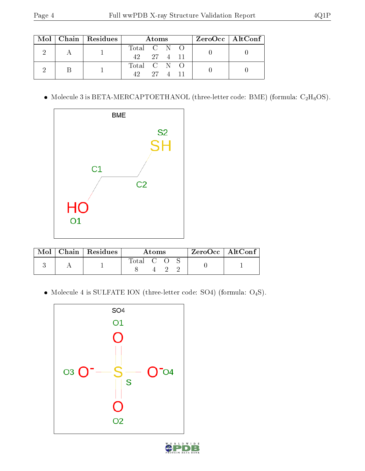|  | $\text{Mol}$   Chain   Residues | Atoms       | $ZeroOcc \mid AltConf \mid$ |
|--|---------------------------------|-------------|-----------------------------|
|  |                                 | Total C N O |                             |
|  |                                 | 42 27 4 11  |                             |
|  |                                 | Total C N O |                             |
|  |                                 | $-27$ 4 11  |                             |

 $\bullet\,$  Molecule 3 is BETA-MERCAPTOETHANOL (three-letter code: BME) (formula:  $\rm{C_2H_6OS}.$ 



|  | $\text{Mol}$   Chain   Residues | Atoms     |  |  | $ZeroOcc$   AltConf |  |
|--|---------------------------------|-----------|--|--|---------------------|--|
|  |                                 | Total C O |  |  |                     |  |

 $\bullet$  Molecule 4 is SULFATE ION (three-letter code: SO4) (formula: O<sub>4</sub>S).



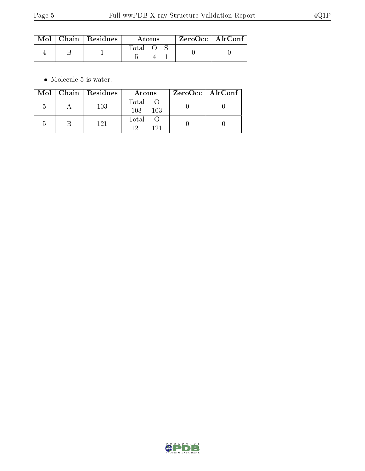|  | $Mol$   Chain   Residues | Atoms |  |  | $ZeroOcc$   AltConf |  |
|--|--------------------------|-------|--|--|---------------------|--|
|  |                          | Total |  |  |                     |  |

 $\bullet\,$  Molecule 5 is water.

|        | Mol   Chain   Residues | Atoms               | $\rm ZeroOcc \mid AltConf \mid$ |
|--------|------------------------|---------------------|---------------------------------|
| h      | 103                    | Total<br>103<br>103 |                                 |
| $\sim$ | 121                    | Total<br>191<br>191 |                                 |

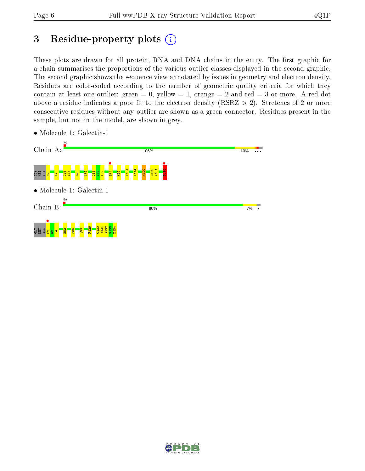# 3 Residue-property plots  $(i)$

These plots are drawn for all protein, RNA and DNA chains in the entry. The first graphic for a chain summarises the proportions of the various outlier classes displayed in the second graphic. The second graphic shows the sequence view annotated by issues in geometry and electron density. Residues are color-coded according to the number of geometric quality criteria for which they contain at least one outlier: green  $= 0$ , yellow  $= 1$ , orange  $= 2$  and red  $= 3$  or more. A red dot above a residue indicates a poor fit to the electron density (RSRZ  $> 2$ ). Stretches of 2 or more consecutive residues without any outlier are shown as a green connector. Residues present in the sample, but not in the model, are shown in grey.



• Molecule 1: Galectin-1

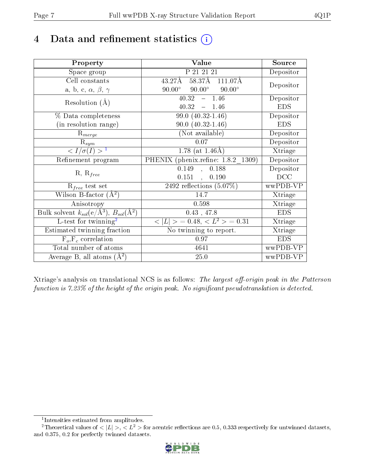# 4 Data and refinement statistics  $(i)$

| Property                                                             | Value                                           | Source                       |
|----------------------------------------------------------------------|-------------------------------------------------|------------------------------|
| Space group                                                          | P 21 21 21                                      | Depositor                    |
| Cell constants                                                       | 58.37Å<br>43.27Å<br>111.07Å                     |                              |
| a, b, c, $\alpha$ , $\beta$ , $\gamma$                               | $90.00^\circ$<br>$90.00^\circ$<br>$90.00^\circ$ | Depositor                    |
| Resolution $(A)$                                                     | 40.32<br>1.46<br>$\frac{1}{2}$                  | Depositor                    |
|                                                                      | 40.32<br>$-1.46$                                | <b>EDS</b>                   |
| % Data completeness                                                  | 99.0 (40.32-1.46)                               | Depositor                    |
| (in resolution range)                                                | $90.0 (40.32 - 1.46)$                           | <b>EDS</b>                   |
| $\mathrm{R}_{merge}$                                                 | (Not available)                                 | Depositor                    |
| $\mathrm{R}_{sym}$                                                   | 0.07                                            | Depositor                    |
| $\langle I/\sigma(I)\rangle^{-1}$                                    | 1.78 (at $1.46\text{\AA}$ )                     | Xtriage                      |
| Refinement program                                                   | PHENIX (phenix.refine: 1.8.2 1309)              | Depositor                    |
|                                                                      | 0.149<br>0.188<br>$\frac{1}{2}$                 | Depositor                    |
| $R, R_{free}$                                                        | 0.151,<br>0.190                                 | DCC                          |
| $R_{free}$ test set                                                  | 2492 reflections $(5.07\%)$                     | wwPDB-VP                     |
| Wilson B-factor $(\AA^2)$                                            | 14.7                                            | Xtriage                      |
| Anisotropy                                                           | 0.598                                           | Xtriage                      |
| Bulk solvent $k_{sol}(e/\mathring{A}^3)$ , $B_{sol}(\mathring{A}^2)$ | 0.43, 47.8                                      | <b>EDS</b>                   |
| L-test for twinning <sup>2</sup>                                     | $< L >$ = 0.48, $< L2$ = 0.31                   | $\overline{\text{X}}$ triage |
| Estimated twinning fraction                                          | No twinning to report.                          | Xtriage                      |
| $F_o, F_c$ correlation                                               | 0.97                                            | <b>EDS</b>                   |
| Total number of atoms                                                | 4641                                            | wwPDB-VP                     |
| Average B, all atoms $(A^2)$                                         | 25.0                                            | wwPDB-VP                     |

Xtriage's analysis on translational NCS is as follows: The largest off-origin peak in the Patterson function is  $7.23\%$  of the height of the origin peak. No significant pseudotranslation is detected.

<sup>&</sup>lt;sup>2</sup>Theoretical values of  $\langle |L| \rangle$ ,  $\langle L^2 \rangle$  for acentric reflections are 0.5, 0.333 respectively for untwinned datasets, and 0.375, 0.2 for perfectly twinned datasets.



<span id="page-6-1"></span><span id="page-6-0"></span><sup>1</sup> Intensities estimated from amplitudes.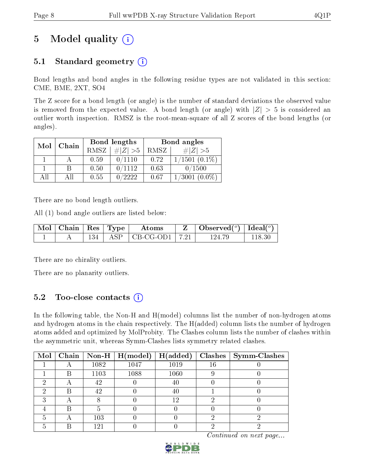# 5 Model quality  $(i)$

## 5.1 Standard geometry  $(i)$

Bond lengths and bond angles in the following residue types are not validated in this section: CME, BME, 2XT, SO4

The Z score for a bond length (or angle) is the number of standard deviations the observed value is removed from the expected value. A bond length (or angle) with  $|Z| > 5$  is considered an outlier worth inspection. RMSZ is the root-mean-square of all Z scores of the bond lengths (or angles).

| Mol | Chain |      | Bond lengths | Bond angles |                     |  |
|-----|-------|------|--------------|-------------|---------------------|--|
|     |       | RMSZ | $\# Z  > 5$  | RMSZ        | $\# Z  > 5$         |  |
|     |       | 0.59 | 0/1110       | 0.72        | $1/1501$ $(0.1\%)$  |  |
|     | В     | 0.50 | 0/1112       | 0.63        | 0/1500              |  |
| ΑH  | ΑH    | 0.55 | 0/2222       | 0.67        | $(0.0\%)$<br>1/3001 |  |

There are no bond length outliers.

All (1) bond angle outliers are listed below:

| $\mid$ Mol $\mid$ Chain $\mid$ Res $\mid$ Type |  | Atoms                          | $\vert$ Observed $(^\circ)$ $\vert$ Ideal $(^\circ)$ |        |
|------------------------------------------------|--|--------------------------------|------------------------------------------------------|--------|
|                                                |  | $134$   ASP   CB-CG-OD1   7.21 | 124 79                                               | 118.30 |

There are no chirality outliers.

There are no planarity outliers.

### 5.2 Too-close contacts (i)

In the following table, the Non-H and H(model) columns list the number of non-hydrogen atoms and hydrogen atoms in the chain respectively. The H(added) column lists the number of hydrogen atoms added and optimized by MolProbity. The Clashes column lists the number of clashes within the asymmetric unit, whereas Symm-Clashes lists symmetry related clashes.

| $\text{Mol}$ |   |      | $\boxed{\text{Chain} \mid \text{Non-H} \mid \text{H}(\text{model})}$ | H(added) |        | $Clashes$   Symm-Clashes |
|--------------|---|------|----------------------------------------------------------------------|----------|--------|--------------------------|
|              | ⌒ | 1082 | 1047                                                                 | 1019     | $16\,$ |                          |
|              | К | 1103 | 1088                                                                 | 1060     |        |                          |
| 6)           |   | 42   |                                                                      | 40       |        |                          |
|              | B | 42   |                                                                      | 40       |        |                          |
|              |   |      |                                                                      | 12       |        |                          |
|              | Β |      |                                                                      |          |        |                          |
|              |   | 103  |                                                                      |          |        |                          |
|              |   | 121  |                                                                      |          |        |                          |

Continued on next page...

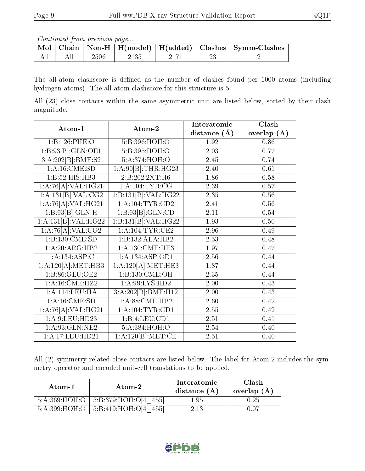Continued from previous page...

|  |      |      |  | Mol   Chain   Non-H   H(model)   H(added)   Clashes   Symm-Clashes |
|--|------|------|--|--------------------------------------------------------------------|
|  | 2506 | 2135 |  |                                                                    |

The all-atom clashscore is defined as the number of clashes found per 1000 atoms (including hydrogen atoms). The all-atom clashscore for this structure is 5.

All (23) close contacts within the same asymmetric unit are listed below, sorted by their clash magnitude.

| Atom-1                         | Atom-2               | Interatomic<br>distance $(\AA)$ | Clash<br>overlap $(\AA)$ |
|--------------------------------|----------------------|---------------------------------|--------------------------|
| 1:B:126:PHE:O                  | 5:B:396:HOH:O        | 1.92                            | 0.86                     |
| 1:B:93[B]:GLN:OE1              | 5:B:395:HOH:O        | 2.03                            | 0.77                     |
|                                |                      |                                 |                          |
| 3:A:202[B]:BME:S2              | 5:A:374:HOH:O        | 2.45                            | 0.74                     |
| 1: A:16: CME:SD                | 1:A:90[B]:THR:HG23   | 2.40                            | 0.61                     |
| 1:B:52:HIS:HB3                 | 2:B:202:2XT:H6       | 1.86                            | 0.58                     |
| 1:A:76[A]:VAL:HG21             | 1:A:104:TYR:CG       | 2.39                            | 0.57                     |
| 1:A:131[B]:VAL:CG2             | 1:B:131[B]:VAL:H G22 | 2.35                            | 0.56                     |
| 1:A:76[A]:VAL:HG21             | 1: A: 104: TYR: CD2  | 2.41                            | $0.56\,$                 |
| 1:B:93[B]:GLN:H                | 1:B:93[B]:GLN:CD     | 2.11                            | $0.54\,$                 |
| 1:A:131[B]:VAL:H G22           | 1:B:131[B]:VAL:H G22 | 1.93                            | 0.50                     |
| 1:A:76[A]:VAL:CG2              | 1: A:104:TYR:CE2     | 2.96                            | 0.49                     |
| 1:B:130:CME:SD                 | 1:B:132:ALA:HB2      | 2.53                            | 0.48                     |
| 1:A:20:ARG:HB2                 | 1: A: 130: CME: HE3  | 1.97                            | 0.47                     |
| 1:A:134:ASP:C                  | 1:A:134:ASP:OD1      | 2.56                            | 0.44                     |
| 1:A:120[A]:MET:HB3             | 1:A:120[A]:MET:HE3   | 1.87                            | 0.44                     |
| 1: B:86: GLU:OE2               | 1:B:130:CME:OH       | 2.35                            | 0.44                     |
| $1: A:16: CME: \overline{HZ2}$ | 1:A:99:LYS:HD2       | 2.00                            | 0.43                     |
| 1:A:114:LEU:HA                 | 3:A:202[B]:BME:H12   | 2.00                            | 0.43                     |
| 1: A:16: CME:SD                | 1: A:88: CME: HB2    | 2.60                            | 0.42                     |
| 1:A:76[A]:VAL:HG21             | 1: A: 104: TYR: CD1  | 2.55                            | 0.42                     |
| 1:A:9:LEU:HD23                 | 1:B:4:LEU:CD1        | 2.51                            | 0.41                     |
| 1:A:93:GLN:NE2                 | 5:A:384:HOH:O        | 2.54                            | 0.40                     |
| 1:A:17:LEU:HD21                | 1:A:120[B]:MET:CE    | 2.51                            | 0.40                     |

All (2) symmetry-related close contacts are listed below. The label for Atom-2 includes the symmetry operator and encoded unit-cell translations to be applied.

| Atom-1 | $\boldsymbol{\mathrm{Atom}\text{-}2}$      | Interatomic<br>distance $(A)$ | Clash<br>overlap $(A)$ |
|--------|--------------------------------------------|-------------------------------|------------------------|
|        | $5:A:369:HOH:O$   $5:B:379:HOH:O[4 \ 455]$ | 1.95                          | 0.25                   |
|        | $5:A:399:HOH:O$   $5:B:419:HOH:O[4 \ 455]$ | 2.13                          | በ በ7                   |

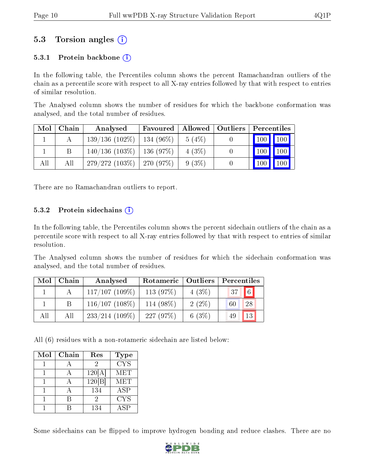### 5.3 Torsion angles (i)

#### 5.3.1 Protein backbone  $(i)$

In the following table, the Percentiles column shows the percent Ramachandran outliers of the chain as a percentile score with respect to all X-ray entries followed by that with respect to entries of similar resolution.

The Analysed column shows the number of residues for which the backbone conformation was analysed, and the total number of residues.

| Mol | Chain | Analysed                       | Favoured | $\mid$ Allowed $\mid$ Outliers | Percentiles                        |
|-----|-------|--------------------------------|----------|--------------------------------|------------------------------------|
|     |       | $139/136$ (102\%)   134 (96\%) |          | 5(4%)                          | $\mid$ 100 $\mid$ 100 $\mid$       |
|     |       | $140/136$ (103\%)   136 (97\%) |          | 4(3%)                          | $\vert$ 100<br>$\vert$ 100 $\vert$ |
| All | All   | $279/272(103\%)$ 270 (97\%)    |          | $9(3\%)$                       | $\blacksquare$ 100                 |

There are no Ramachandran outliers to report.

#### 5.3.2 Protein sidechains  $\hat{1}$

In the following table, the Percentiles column shows the percent sidechain outliers of the chain as a percentile score with respect to all X-ray entries followed by that with respect to entries of similar resolution.

The Analysed column shows the number of residues for which the sidechain conformation was analysed, and the total number of residues.

| Mol | Chain | Analysed          | Rotameric   Outliers |          | Percentiles      |  |  |
|-----|-------|-------------------|----------------------|----------|------------------|--|--|
|     |       | $117/107(109\%)$  | 113 $(97%)$          | $4(3\%)$ | $\sqrt{6}$<br>37 |  |  |
|     | B     | $116/107(108\%)$  | 114 (98%)            | $2(2\%)$ | 28<br>60         |  |  |
| All | All   | $233/214$ (109\%) | 227(97%)             | $6(3\%)$ | 13<br>49         |  |  |

All (6) residues with a non-rotameric sidechain are listed below:

| Mol | Chain | Res    | <b>Type</b>             |
|-----|-------|--------|-------------------------|
|     |       |        | $\overline{\text{CYS}}$ |
|     |       | 120[A] | MET                     |
|     |       | 120 B  | MET                     |
|     |       | 134    | ASP                     |
|     |       | 2      | <b>CYS</b>              |
|     |       | 134    | ΑSΡ                     |

Some sidechains can be flipped to improve hydrogen bonding and reduce clashes. There are no

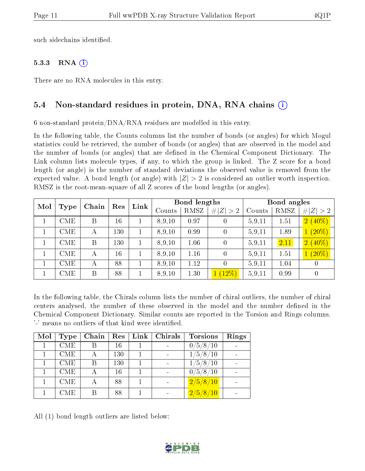such sidechains identified.

#### 5.3.3 RNA  $(i)$

There are no RNA molecules in this entry.

#### 5.4 Non-standard residues in protein, DNA, RNA chains (i)

6 non-standard protein/DNA/RNA residues are modelled in this entry.

In the following table, the Counts columns list the number of bonds (or angles) for which Mogul statistics could be retrieved, the number of bonds (or angles) that are observed in the model and the number of bonds (or angles) that are defined in the Chemical Component Dictionary. The Link column lists molecule types, if any, to which the group is linked. The Z score for a bond length (or angle) is the number of standard deviations the observed value is removed from the expected value. A bond length (or angle) with  $|Z| > 2$  is considered an outlier worth inspection. RMSZ is the root-mean-square of all Z scores of the bond lengths (or angles).

| Mol | <b>Type</b> | Chain | Bond lengths<br>Link<br>$\operatorname{Res}$ |  |        |      | Bond angles    |        |      |                  |
|-----|-------------|-------|----------------------------------------------|--|--------|------|----------------|--------|------|------------------|
|     |             |       |                                              |  | Counts | RMSZ | # $ Z  > 2$    | Counts | RMSZ | # $ Z  > 2$      |
|     | CME         | B     | 16                                           |  | 8,9,10 | 0.97 | $\theta$       | 5,9,11 | 1.51 | $2(40\%)$        |
|     | CME         | А     | 130                                          |  | 8,9,10 | 0.99 | 0              | 5,9,11 | 1.89 | $1(20\%)$        |
|     | CME         | B     | 130                                          |  | 8,9,10 | 1.06 | $\overline{0}$ | 5.9,11 | 2.11 | $2(40\%)$        |
|     | CME         | А     | 16                                           |  | 8,9,10 | 1.16 | $\overline{0}$ | 5.9,11 | 1.51 | $1(20\%)$        |
|     | CME         | А     | 88                                           |  | 8,9,10 | 1.12 | 0              | 5,9,11 | 1.04 | $\left( \right)$ |
|     | CME         | B     | 88                                           |  | 8,9,10 | 1.30 | $(12\%)$       | 5,9,11 | 0.99 | $\boldsymbol{0}$ |

In the following table, the Chirals column lists the number of chiral outliers, the number of chiral centers analysed, the number of these observed in the model and the number defined in the Chemical Component Dictionary. Similar counts are reported in the Torsion and Rings columns. '-' means no outliers of that kind were identified.

| Mol | Type       | Chain | Res | Link | Chirals                  | <b>Torsions</b> | Rings |
|-----|------------|-------|-----|------|--------------------------|-----------------|-------|
|     | CME        |       | 16  |      |                          | 0/5/8/10        |       |
|     | CME        |       | 130 |      | $\blacksquare$           | 1/5/8/10        |       |
|     | <b>CME</b> |       | 130 |      |                          | 1/5/8/10        |       |
|     | <b>CME</b> |       | 16  |      | $\overline{\phantom{a}}$ | 0/5/8/10        |       |
|     | <b>CME</b> |       | 88  |      | $\qquad \qquad$          | 2/5/8/10        |       |
|     | CME.       |       | 88  |      |                          | 2/5/8/10        |       |

All (1) bond length outliers are listed below:

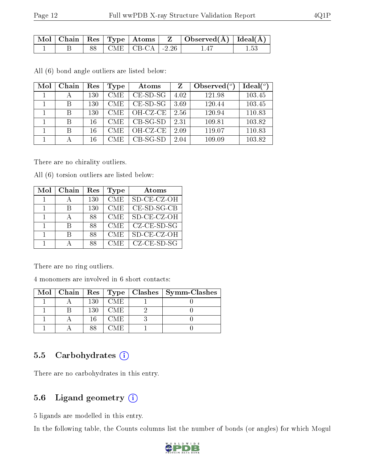|  |  |                          | $\mid$ Mol $\mid$ Chain $\mid$ Res $\mid$ Type $\mid$ Atoms $\mid$ $\mid$ Z $\mid$ Observed(Å) $\mid$ Ideal(Å) $\mid$ |      |
|--|--|--------------------------|-----------------------------------------------------------------------------------------------------------------------|------|
|  |  | 88   CME   CB-CA   -2.26 | -147                                                                                                                  | 1.53 |

All (6) bond angle outliers are listed below:

| Mol | Chain | Res | Type       | Atoms       | Z    | Observed $\binom{o}{c}$ | Ideal $(^\circ)$ |
|-----|-------|-----|------------|-------------|------|-------------------------|------------------|
|     |       | 130 | CME        | $CE$ -SD-SG | 4.02 | 121.98                  | 103.45           |
|     | B     | 130 | <b>CME</b> | $CE$ -SD-SG | 3.69 | 120.44                  | 103.45           |
|     | В     | 130 | <b>CME</b> | OH-CZ-CE    | 2.56 | 120.94                  | 110.83           |
|     | В     | 16  | <b>CME</b> | $CB-SG-SD$  | 2.31 | 109.81                  | 103.82           |
|     | В     | 16  | <b>CME</b> | OH-CZ-CE    | 2.09 | 119.07                  | 110.83           |
|     |       | 16  | <b>CME</b> | $CB-SG-SD$  | 2.04 | 109.09                  | 103.82           |

There are no chirality outliers.

All (6) torsion outliers are listed below:

| Mol | Chain | Res | Type       | Atoms                     |
|-----|-------|-----|------------|---------------------------|
|     |       | 130 | <b>CME</b> | SD-CE-CZ-OH               |
|     | R     | 130 | <b>CME</b> | $CE-SD-SG-CB$             |
|     |       | 88  | <b>CME</b> | SD-CE-CZ-OH               |
|     | R     | 88  | <b>CME</b> | $CZ$ - $CE$ - $SD$ - $SG$ |
|     | В     | 88  | <b>CME</b> | SD-CE-CZ-OH               |
|     |       | 88  | <b>CME</b> | $CZ$ - $CE$ - $SD$ - $SG$ |

There are no ring outliers.

4 monomers are involved in 6 short contacts:

|  |     |      | Mol   Chain   Res   Type   Clashes   Symm-Clashes |
|--|-----|------|---------------------------------------------------|
|  | 130 | CME. |                                                   |
|  | 130 | CME. |                                                   |
|  | 16  | CME. |                                                   |
|  |     |      |                                                   |

#### 5.5 Carbohydrates  $(i)$

There are no carbohydrates in this entry.

### 5.6 Ligand geometry (i)

5 ligands are modelled in this entry.

In the following table, the Counts columns list the number of bonds (or angles) for which Mogul

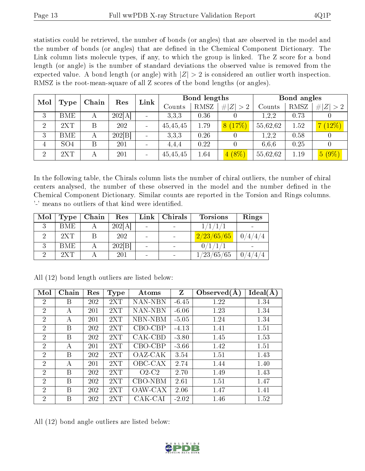statistics could be retrieved, the number of bonds (or angles) that are observed in the model and the number of bonds (or angles) that are defined in the Chemical Component Dictionary. The Link column lists molecule types, if any, to which the group is linked. The Z score for a bond length (or angle) is the number of standard deviations the observed value is removed from the expected value. A bond length (or angle) with  $|Z| > 2$  is considered an outlier worth inspection. RMSZ is the root-mean-square of all Z scores of the bond lengths (or angles).

| Mol            | Chain<br>$\operatorname{Res}% \left( \mathcal{N}\right) \equiv\operatorname{Res}(\mathcal{N}_{0})\cap\mathcal{N}_{1}$<br><b>Type</b> |   |        | Link |          | <b>Bond lengths</b> |                       |          | Bond angles |             |  |
|----------------|--------------------------------------------------------------------------------------------------------------------------------------|---|--------|------|----------|---------------------|-----------------------|----------|-------------|-------------|--|
|                |                                                                                                                                      |   |        |      | Counts   | RMSZ                | Z >2<br>#             | Counts   | RMSZ        | # $ Z  > 2$ |  |
| 3              | BME                                                                                                                                  | А | 202[A] |      | 3.3.3    | 0.36                |                       | .2.2     | 0.73        |             |  |
| $\overline{2}$ | 2XT                                                                                                                                  | B | 202    |      | 45,45,45 | 1.79                | (17%)<br>$\mathsf{R}$ | 55,62,62 | 1.52        | $(12\%)$    |  |
| 3              | BME                                                                                                                                  | А | 202 B  |      | 3.3.3    | 0.26                |                       | 1,2,2    | 0.58        |             |  |
| 4              | SO <sub>4</sub>                                                                                                                      | Β | 201    |      | 4,4,4    | 0.22                |                       | 6,6,6    | 0.25        |             |  |
| $\overline{2}$ | 2XT                                                                                                                                  | А | 201    |      | 45,45,45 | 1.64                | $4(8\%)$              | 55,62,62 | 1.19        | 5(9%)       |  |

In the following table, the Chirals column lists the number of chiral outliers, the number of chiral centers analysed, the number of these observed in the model and the number defined in the Chemical Component Dictionary. Similar counts are reported in the Torsion and Rings columns. '-' means no outliers of that kind were identified.

| Mol | Type       | Chain | Res    | Link | Chirals | <b>Torsions</b> | Rings                            |
|-----|------------|-------|--------|------|---------|-----------------|----------------------------------|
|     | <b>BME</b> |       | 202[A] |      |         | 1/1/1/1         |                                  |
|     | 2XT        |       | 202    |      |         | 2/23/65/65      | 0/4/4/4                          |
|     | <b>BME</b> |       | 202 B  |      |         | 0/1/1/1         |                                  |
|     | 220        |       | 201    |      |         | 1/23/65/65      | $\vert 0 \rangle$<br>/4/4<br>، 4 |

| Mol            | Chain | Res | <b>Type</b> | Atoms   | Z       | Observed $(A)$ | Ideal(A) |
|----------------|-------|-----|-------------|---------|---------|----------------|----------|
| $\overline{2}$ | В     | 202 | 2XT         | NAN-NBN | $-6.45$ | 1.22           | 1.34     |
| $\overline{2}$ | А     | 201 | 2XT         | NAN-NBN | $-6.06$ | 1.23           | 1.34     |
| 2              | А     | 201 | 2XT         | NBN-NBM | $-5.05$ | 1.24           | 1.34     |
| $\overline{2}$ | В     | 202 | 2XT         | CBO-CBP | $-4.13$ | 1.41           | 1.51     |
| $\overline{2}$ | B     | 202 | 2XT         | CAK-CBD | $-3.80$ | 1.45           | 1.53     |
| $\overline{2}$ | А     | 201 | 2XT         | CBO-CBP | $-3.66$ | 1.42           | 1.51     |
| $\overline{2}$ | B     | 202 | 2XT         | OAZ-CAK | 3.54    | 1.51           | 1.43     |
| $\overline{2}$ | А     | 201 | 2XT         | OBC-CAX | 2.74    | 1.44           | 1.40     |
| $\mathcal{D}$  | B     | 202 | 2XT         | $O2-C2$ | 2.70    | 1.49           | 1.43     |
| $\overline{2}$ | В     | 202 | 2XT         | CBO-NBM | 2.61    | 1.51           | 1.47     |
| $\mathcal{D}$  | В     | 202 | 2XT         | OAW-CAX | 2.06    | 1.47           | 1.41     |
| $\overline{2}$ | В     | 202 | 2XT         | CAK-CAI | $-2.02$ | 1.46           | 1.52     |

All (12) bond length outliers are listed below:

All (12) bond angle outliers are listed below:

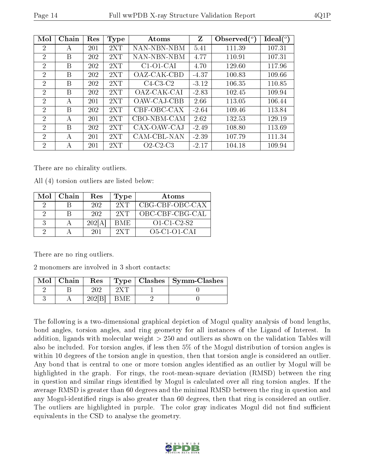| Mol            | Chain | Res | <b>Type</b> | Atoms                                | Z       | Observed $\binom{o}{c}$ | $Ideal(^o)$ |
|----------------|-------|-----|-------------|--------------------------------------|---------|-------------------------|-------------|
| $\overline{2}$ | A     | 201 | 2XT         | NAN-NBN-NBM                          | 5.41    | 111.39                  | 107.31      |
| $\overline{2}$ | B     | 202 | 2XT         | NAN-NBN-NBM                          | 4.77    | 110.91                  | 107.31      |
| $\overline{2}$ | B     | 202 | 2XT         | $C1-O1-CAI$                          | 4.70    | 129.60                  | 117.96      |
| $\overline{2}$ | B     | 202 | 2XT         | OAZ-CAK-CBD                          | $-4.37$ | 100.83                  | 109.66      |
| 2              | B     | 202 | 2XT         | $C4-C3-C2$                           | $-3.12$ | 106.35                  | 110.85      |
| $\overline{2}$ | В     | 202 | 2XT         | OAZ-CAK-CAI                          | $-2.83$ | 102.45                  | 109.94      |
| $\overline{2}$ | А     | 201 | 2XT         | OAW-CAJ-CBB                          | 2.66    | 113.05                  | 106.44      |
| $\overline{2}$ | B     | 202 | 2XT         | CBF-OBC-CAX                          | $-2.64$ | 109.46                  | 113.84      |
| $\overline{2}$ | A     | 201 | 2XT         | CBO-NBM-CAM                          | 2.62    | 132.53                  | 129.19      |
| 2              | B     | 202 | 2XT         | CAX-OAW-CAJ                          | $-2.49$ | 108.80                  | 113.69      |
| 2              | A     | 201 | 2XT         | CAM-CBL-NAN                          | $-2.39$ | 107.79                  | 111.34      |
| 2              | А     | 201 | 2XT         | $O2$ -C <sub>2</sub> -C <sub>3</sub> | $-2.17$ | 104.18                  | 109.94      |

There are no chirality outliers.

All (4) torsion outliers are listed below:

| Mol | Chain | Res    | <b>Type</b> | Atoms               |
|-----|-------|--------|-------------|---------------------|
|     |       | 202    | 2XT         | CBG-CBF-OBC-CAX     |
| റ   |       | 202    | 2XT         | OBC-CBF-CBG-CAL     |
| 3   |       | 202[A] | BME.        | $O1 - C1 - C2 - S2$ |
| റ   |       | 201    | 2XT         | $O5-Cl-O1-CAI$      |

There are no ring outliers.

2 monomers are involved in 3 short contacts:

| $Mol$   Chain | Res   |      | $\mid$ Type $\mid$ Clashes $\mid$ Symm-Clashes |
|---------------|-------|------|------------------------------------------------|
|               |       |      |                                                |
|               | 202 B | BME: |                                                |

The following is a two-dimensional graphical depiction of Mogul quality analysis of bond lengths, bond angles, torsion angles, and ring geometry for all instances of the Ligand of Interest. In addition, ligands with molecular weight > 250 and outliers as shown on the validation Tables will also be included. For torsion angles, if less then 5% of the Mogul distribution of torsion angles is within 10 degrees of the torsion angle in question, then that torsion angle is considered an outlier. Any bond that is central to one or more torsion angles identified as an outlier by Mogul will be highlighted in the graph. For rings, the root-mean-square deviation (RMSD) between the ring in question and similar rings identified by Mogul is calculated over all ring torsion angles. If the average RMSD is greater than 60 degrees and the minimal RMSD between the ring in question and any Mogul-identied rings is also greater than 60 degrees, then that ring is considered an outlier. The outliers are highlighted in purple. The color gray indicates Mogul did not find sufficient equivalents in the CSD to analyse the geometry.

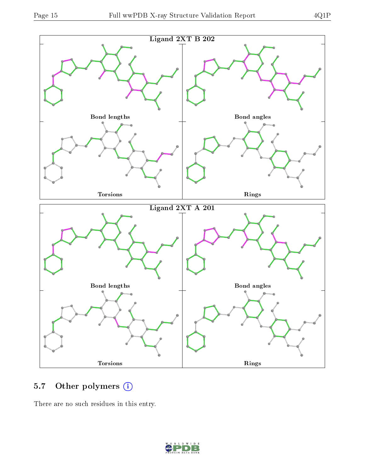

### 5.7 [O](https://www.wwpdb.org/validation/2017/XrayValidationReportHelp#nonstandard_residues_and_ligands)ther polymers (i)

There are no such residues in this entry.

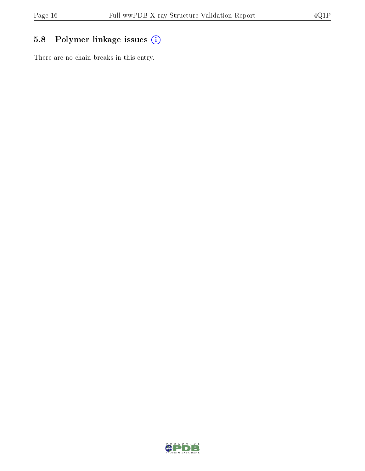## 5.8 Polymer linkage issues (i)

There are no chain breaks in this entry.

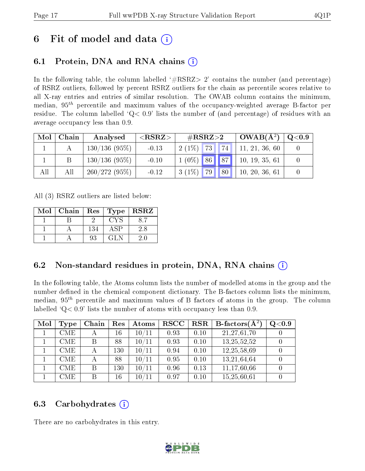# 6 Fit of model and data  $\left( \cdot \right)$

## 6.1 Protein, DNA and RNA chains (i)

In the following table, the column labelled  $#RSRZ>2'$  contains the number (and percentage) of RSRZ outliers, followed by percent RSRZ outliers for the chain as percentile scores relative to all X-ray entries and entries of similar resolution. The OWAB column contains the minimum, median,  $95<sup>th</sup>$  percentile and maximum values of the occupancy-weighted average B-factor per residue. The column labelled ' $Q< 0.9$ ' lists the number of (and percentage) of residues with an average occupancy less than 0.9.

| Mol | Chain | Analysed        | ${ <\hspace{-1.5pt}{\mathrm{RSRZ}} \hspace{-1.5pt}>}$ | $\#\text{RSRZ}{>}2$   |                 | $OWAB(A^2)$    | $\rm Q\textcolor{black}{<}0.9$ |
|-----|-------|-----------------|-------------------------------------------------------|-----------------------|-----------------|----------------|--------------------------------|
|     |       | 130/136(95%)    | $-0.13$                                               | 73<br>$2(1\%)$        | 74              | 11, 21, 36, 60 |                                |
|     |       | 130/136(95%)    | $-0.10$                                               | $1(0\%)$ 86 87        |                 | 10, 19, 35, 61 |                                |
| All | All   | $260/272(95\%)$ | $-0.12$                                               | <b>79</b><br>$3(1\%)$ | 80 <sup>1</sup> | 10, 20, 36, 61 |                                |

All (3) RSRZ outliers are listed below:

| Mol | Chain | Res | Type | $\operatorname{\textbf{RSRZ}}$ |
|-----|-------|-----|------|--------------------------------|
|     |       |     | CYS  |                                |
|     |       | 134 | ΑSΡ  | 2.8                            |
|     |       | 93  | GL N |                                |

### 6.2 Non-standard residues in protein, DNA, RNA chains (i)

In the following table, the Atoms column lists the number of modelled atoms in the group and the number defined in the chemical component dictionary. The B-factors column lists the minimum, median,  $95<sup>th</sup>$  percentile and maximum values of B factors of atoms in the group. The column labelled  $Q< 0.9$  lists the number of atoms with occupancy less than 0.9.

| Mol | Type       | Chain | Res | Atoms  | $_{\rm RSCC}$ | <b>RSR</b> | <b>B</b> -factors( $\overline{A^2}$ ) | Q <sub>0.9</sub> |
|-----|------------|-------|-----|--------|---------------|------------|---------------------------------------|------------------|
|     | CME        |       | 16  | 10/11  | 0.93          | 0.10       | 21,27,61,70                           |                  |
|     | CME        | В     | 88  | 10/11  | 0.93          | 0.10       | 13,25,52,52                           |                  |
|     | <b>CME</b> |       | 130 | 10/11  | 0.94          | 0.10       | 12,25,58,69                           |                  |
|     | <b>CME</b> |       | 88  | 10/11  | 0.95          | 0.10       | 13,21,64,64                           |                  |
|     | <b>CME</b> | В     | 130 | 10/11  | 0.96          | 0.13       | 11,17,60,66                           |                  |
|     | CME        | В     | 16  | $10\,$ | 0.97          | 0.10       | 15,25,60,61                           |                  |

### 6.3 Carbohydrates (i)

There are no carbohydrates in this entry.

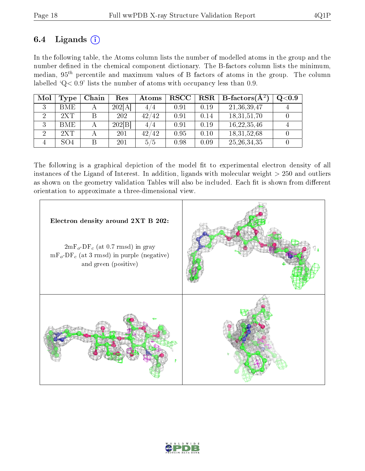### 6.4 Ligands  $(i)$

In the following table, the Atoms column lists the number of modelled atoms in the group and the number defined in the chemical component dictionary. The B-factors column lists the minimum, median,  $95<sup>th</sup>$  percentile and maximum values of B factors of atoms in the group. The column labelled ' $Q< 0.9$ ' lists the number of atoms with occupancy less than 0.9.

| Mol | Type       | Chain | Res    | Atoms | $_{\rm RSCC}$ | $_{\rm RSR}$ | <b>B</b> -factors( $\overline{A^2}$ ) | $\rm Q\textcolor{black}{<}0.9$ |
|-----|------------|-------|--------|-------|---------------|--------------|---------------------------------------|--------------------------------|
|     | <b>BME</b> |       | 202[A] | 4/4   | 0.91          | 0.19         | 21, 36, 39, 47                        |                                |
|     | 2XT        |       | 202    | 42/42 | 0.91          | 0.14         | 18,31,51,70                           |                                |
|     | <b>BME</b> |       | 202 B  | 4/4   | 0.91          | 0.19         | 16,22,35,46                           |                                |
|     | 2XT        |       | 201    | 42/42 | 0.95          | 0.10         | 18,31,52,68                           |                                |
|     | SO4        |       | 201    | 5/5   | 0.98          | 0.09         | 25, 26, 34, 35                        |                                |

The following is a graphical depiction of the model fit to experimental electron density of all instances of the Ligand of Interest. In addition, ligands with molecular weight  $> 250$  and outliers as shown on the geometry validation Tables will also be included. Each fit is shown from different orientation to approximate a three-dimensional view.